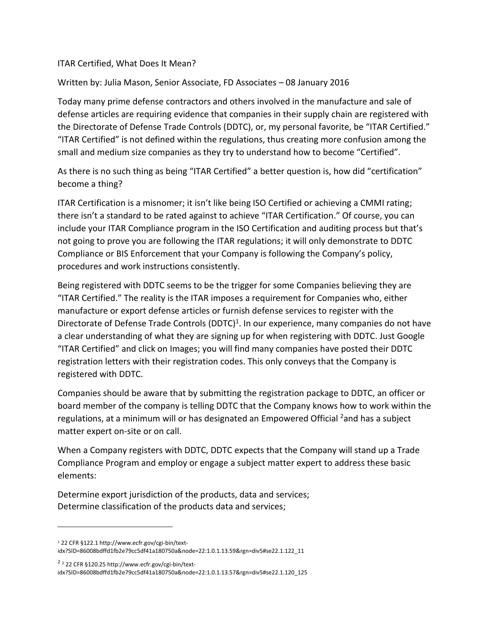## ITAR Certified, What Does It Mean?

## Written by: Julia Mason, Senior Associate, FD Associates – 08 January 2016

Today many prime defense contractors and others involved in the manufacture and sale of defense articles are requiring evidence that companies in their supply chain are registered with the Directorate of Defense Trade Controls (DDTC), or, my personal favorite, be "ITAR Certified." "ITAR Certified" is not defined within the regulations, thus creating more confusion among the small and medium size companies as they try to understand how to become "Certified".

As there is no such thing as being "ITAR Certified" a better question is, how did "certification" become a thing?

ITAR Certification is a misnomer; it isn't like being ISO Certified or achieving a CMMI rating; there isn't a standard to be rated against to achieve "ITAR Certification." Of course, you can include your ITAR Compliance program in the ISO Certification and auditing process but that's not going to prove you are following the ITAR regulations; it will only demonstrate to DDTC Compliance or BIS Enforcement that your Company is following the Company's policy, procedures and work instructions consistently.

Being registered with DDTC seems to be the trigger for some Companies believing they are "ITAR Certified." The reality is the ITAR imposes a requirement for Companies who, either manufacture or export defense articles or furnish defense services to register with the Directorate of Defense Trade Controls (DDTC)<sup>1</sup>. In our experience, many companies do not have a clear understanding of what they are signing up for when registering with DDTC. Just Google "ITAR Certified" and click on Images; you will find many companies have posted their DDTC registration letters with their registration codes. This only conveys that the Company is registered with DDTC.

Companies should be aware that by submitting the registration package to DDTC, an officer or board member of the company is telling DDTC that the Company knows how to work within the regulations, at a minimum will or has designated an Empowered Official <sup>2</sup>and has a subject matter expert on-site or on call.

When a Company registers with DDTC, DDTC expects that the Company will stand up a Trade Compliance Program and employ or engage a subject matter expert to address these basic elements:

Determine export jurisdiction of the products, data and services; Determine classification of the products data and services;

 $\overline{\phantom{a}}$ 

<sup>1</sup> 22 CFR §122.1 http://www.ecfr.gov/cgi-bin/textidx?SID=86008bdffd1fb2e79cc5df41a180750a&node=22:1.0.1.13.59&rgn=div5#se22.1.122\_11

<sup>2</sup> <sup>2</sup> 22 CFR §120.25 http://www.ecfr.gov/cgi-bin/text-

idx?SID=86008bdffd1fb2e79cc5df41a180750a&node=22:1.0.1.13.57&rgn=div5#se22.1.120\_125